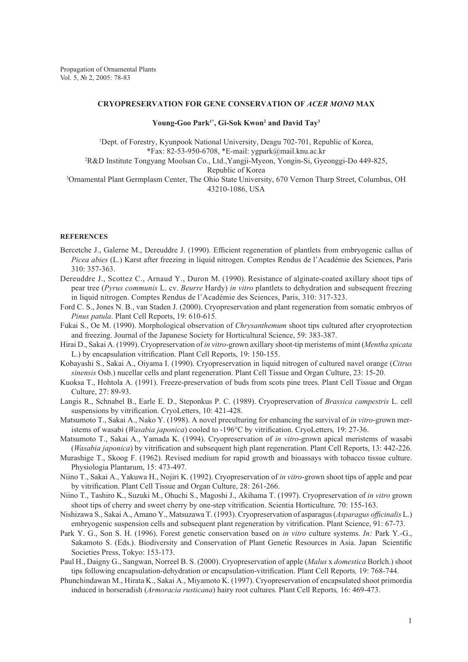## **CRYOPRESERVATION FOR GENE CONSERVATION OF** *ACER MONO* **max**

## **Young-Goo Park1\*, Gi-Sok Kwon2 and David Tay3**

<sup>1</sup>Dept. of Forestry, Kyunpook National University, Deagu 702-701, Republic of Korea, \*Fax: 82-53-950-6708, \*E-mail: ygpark@mail.knu.ac.kr 2 R&D Institute Tongyang Moolsan Co., Ltd.,Yangji-Myeon, Yongin-Si, Gyeonggi-Do 449-825, Republic of Korea<br><sup>3</sup>Ornamental Plant Germplasm Center, The Ohio State University, 670 Vernon Tharp Street, Columbus, OH 43210-1086, USA

## **REFERENCES**

- Bercetche J., Galerne M., Dereuddre J. (1990). Efficient regeneration of plantlets from embryogenic callus of *Picea abies* (L.) Karst after freezing in liquid nitrogen. Comptes Rendus de l'Académie des Sciences, Paris 310: 357-363.
- Dereuddre J., Scottez C., Arnaud Y., Duron M. (1990). Resistance of alginate-coated axillary shoot tips of pear tree (*Pyrus communis* L. cv. *Beurre* Hardy) *in vitro* plantlets to dehydration and subsequent freezing in liquid nitrogen. Comptes Rendus de l'Académie des Sciences, Paris, 310: 317-323.
- Ford C. S., Jones N. B., van Staden J. (2000). Cryopreservation and plant regeneration from somatic embryos of *Pinus patula*. Plant Cell Reports, 19: 610-615.
- Fukai S., Oe M. (1990). Morphological observation of *Chrysanthemum* shoot tips cultured after cryoprotection and freezing. Journal of the Japanese Society for Horticultural Science, 59: 383-387.
- Hirai D., Sakai A. (1999). Cryopreservation of *in vitro*-grown axillary shoot-tip meristems of mint (*Mentha spicata* L.) by encapsulation vitrification. Plant Cell Reports, 19: 150-155.
- Kobayashi S., Sakai A., Oiyama I. (1990). Cryopreservation in liquid nitrogen of cultured navel orange (*Citrus sinensis* Osb.) nucellar cells and plant regeneration. Plant Cell Tissue and Organ Culture, 23: 15-20.
- Kuoksa T., Hohtola A. (1991). Freeze-preservation of buds from scots pine trees. Plant Cell Tissue and Organ Culture, 27: 89-93.
- Langis R., Schnabel B., Earle E. D., Steponkus P. C. (1989). Cryopreservation of *Brassica campestris* L. cell suspensions by vitrification. CryoLetters, 10: 421-428.
- Matsumoto T., Sakai A., Nako Y. (1998). A novel preculturing for enhancing the survival of *in vitro*-grown meristems of wasabi (*Wasabia japonica*) cooled to -196°C by vitrification. CryoLetters*,* 19: 27-36.
- Matsumoto T., Sakai A., Yamada K. (1994). Cryopreservation of *in vitro*-grown apical meristems of wasabi (*Wasabia japonica*) by vitrification and subsequent high plant regeneration. Plant Cell Reports, 13: 442-226.
- Murashige T., Skoog F. (1962). Revised medium for rapid growth and bioassays with tobacco tissue culture. Physiologia Plantarum, 15: 473-497.
- Niino T., Sakai A., Yakuwa H., Nojiri K. (1992). Cryopreservation of *in vitro*-grown shoot tips of apple and pear by vitrification. Plant Cell Tissue and Organ Culture, 28: 261-266.
- Niino T., Tashiro K., Suzuki M., Ohuchi S., Magoshi J., Akihama T. (1997). Cryopreservation of *in vitro* grown shoot tips of cherry and sweet cherry by one-step vitrification. Scientia Horticulture*,* 70: 155-163.
- Nishizawa S., Sakai A., Amano Y., Matsuzawa T. (1993). Cryopreservation of asparagus (*Asparagus officinalis* L.) embryogenic suspension cells and subsequent plant regeneration by vitrification. Plant Science, 91: 67-73.
- Park Y. G., Son S. H. (1996). Forest genetic conservation based on *in vitro* culture systems. *In:* Park Y.-G., Sakamoto S. (Eds.). Biodiversity and Conservation of Plant Genetic Resources in Asia. Japan Scientific Societies Press, Tokyo: 153-173.
- Paul H., Daigny G., Sangwan, Norreel B. S. (2000). Cryopreservation of apple (*Malus* x *domestica* Borlch.) shoot tips following encapsulation-dehydration or encapsulation-vitrification. Plant Cell Reports*,* 19: 768-744.
- Phunchindawan M., Hirata K., Sakai A., Miyamoto K. (1997). Cryopreservation of encapsulated shoot primordia induced in horseradish (*Armoracia rusticana*) hairy root cultures*.* Plant Cell Reports*,* 16: 469-473.